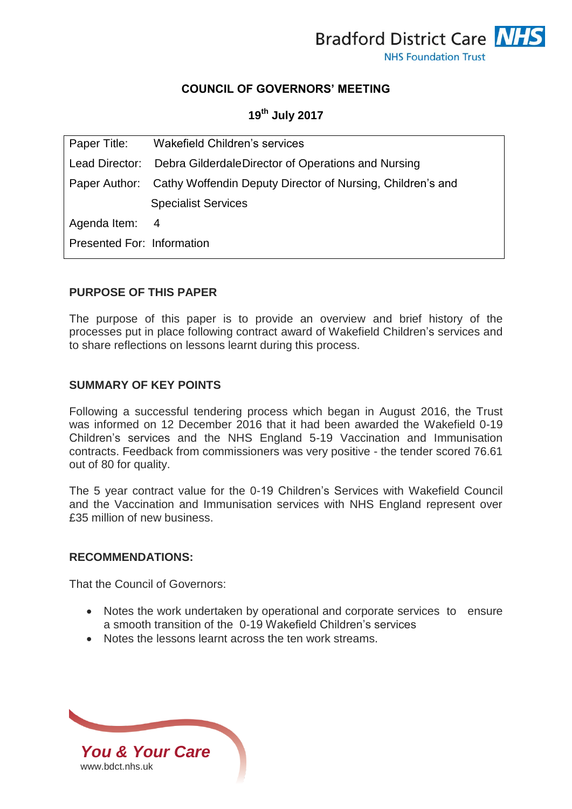

## **COUNCIL OF GOVERNORS' MEETING**

# **19th July 2017**

|                            | Paper Title: Wakefield Children's services                               |
|----------------------------|--------------------------------------------------------------------------|
|                            | Lead Director: Debra GilderdaleDirector of Operations and Nursing        |
|                            | Paper Author: Cathy Woffendin Deputy Director of Nursing, Children's and |
|                            | <b>Specialist Services</b>                                               |
| Agenda Item: 4             |                                                                          |
| Presented For: Information |                                                                          |

### **PURPOSE OF THIS PAPER**

The purpose of this paper is to provide an overview and brief history of the processes put in place following contract award of Wakefield Children's services and to share reflections on lessons learnt during this process.

### **SUMMARY OF KEY POINTS**

Following a successful tendering process which began in August 2016, the Trust was informed on 12 December 2016 that it had been awarded the Wakefield 0-19 Children's services and the NHS England 5-19 Vaccination and Immunisation contracts. Feedback from commissioners was very positive - the tender scored 76.61 out of 80 for quality.

The 5 year contract value for the 0-19 Children's Services with Wakefield Council and the Vaccination and Immunisation services with NHS England represent over £35 million of new business.

#### **RECOMMENDATIONS:**

That the Council of Governors:

- Notes the work undertaken by operational and corporate services to ensure a smooth transition of the 0-19 Wakefield Children's services
- Notes the lessons learnt across the ten work streams.

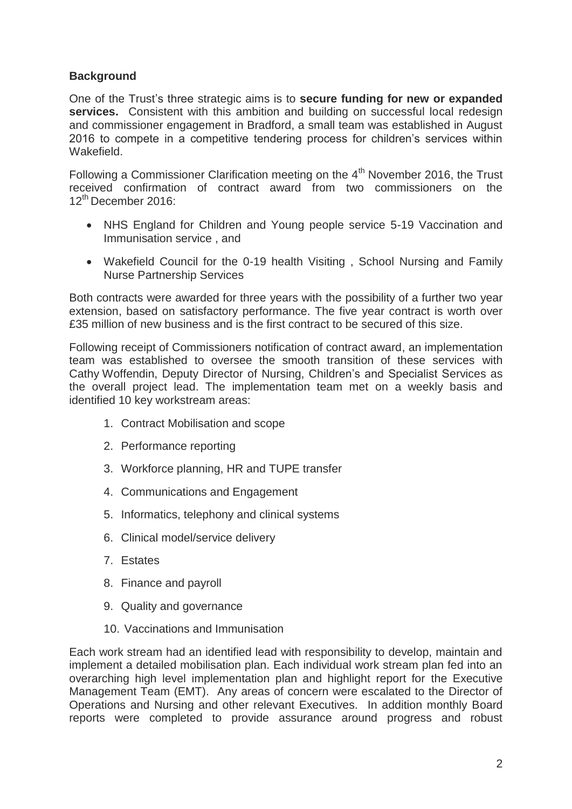# **Background**

One of the Trust's three strategic aims is to **secure funding for new or expanded services.** Consistent with this ambition and building on successful local redesign and commissioner engagement in Bradford, a small team was established in August 2016 to compete in a competitive tendering process for children's services within Wakefield.

Following a Commissioner Clarification meeting on the  $4<sup>th</sup>$  November 2016, the Trust received confirmation of contract award from two commissioners on the 12th December 2016:

- NHS England for Children and Young people service 5-19 Vaccination and Immunisation service , and
- Wakefield Council for the 0-19 health Visiting , School Nursing and Family Nurse Partnership Services

Both contracts were awarded for three years with the possibility of a further two year extension, based on satisfactory performance. The five year contract is worth over £35 million of new business and is the first contract to be secured of this size.

Following receipt of Commissioners notification of contract award, an implementation team was established to oversee the smooth transition of these services with Cathy Woffendin, Deputy Director of Nursing, Children's and Specialist Services as the overall project lead. The implementation team met on a weekly basis and identified 10 key workstream areas:

- 1. Contract Mobilisation and scope
- 2. Performance reporting
- 3. Workforce planning, HR and TUPE transfer
- 4. Communications and Engagement
- 5. Informatics, telephony and clinical systems
- 6. Clinical model/service delivery
- 7. Estates
- 8. Finance and payroll
- 9. Quality and governance
- 10. Vaccinations and Immunisation

Each work stream had an identified lead with responsibility to develop, maintain and implement a detailed mobilisation plan. Each individual work stream plan fed into an overarching high level implementation plan and highlight report for the Executive Management Team (EMT). Any areas of concern were escalated to the Director of Operations and Nursing and other relevant Executives. In addition monthly Board reports were completed to provide assurance around progress and robust